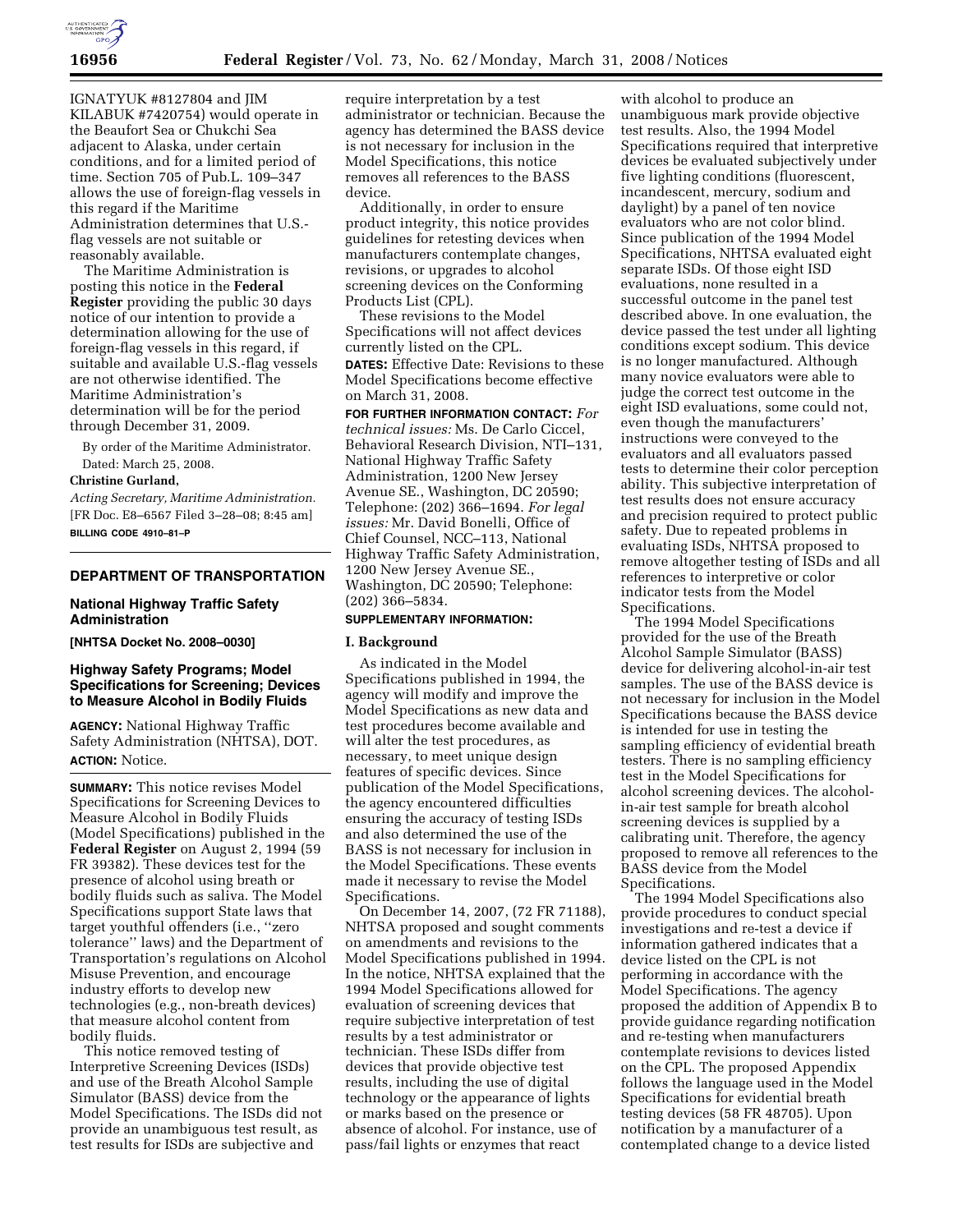

IGNATYUK #8127804 and JIM KILABUK #7420754) would operate in the Beaufort Sea or Chukchi Sea adjacent to Alaska, under certain conditions, and for a limited period of time. Section 705 of Pub.L. 109–347 allows the use of foreign-flag vessels in this regard if the Maritime Administration determines that U.S. flag vessels are not suitable or reasonably available.

The Maritime Administration is posting this notice in the **Federal Register** providing the public 30 days notice of our intention to provide a determination allowing for the use of foreign-flag vessels in this regard, if suitable and available U.S.-flag vessels are not otherwise identified. The Maritime Administration's determination will be for the period through December 31, 2009.

By order of the Maritime Administrator. Dated: March 25, 2008.

# **Christine Gurland,**

*Acting Secretary, Maritime Administration.*  [FR Doc. E8–6567 Filed 3–28–08; 8:45 am] **BILLING CODE 4910–81–P** 

# **DEPARTMENT OF TRANSPORTATION**

## **National Highway Traffic Safety Administration**

**[NHTSA Docket No. 2008–0030]** 

# **Highway Safety Programs; Model Specifications for Screening; Devices to Measure Alcohol in Bodily Fluids**

**AGENCY:** National Highway Traffic Safety Administration (NHTSA), DOT. **ACTION:** Notice.

**SUMMARY:** This notice revises Model Specifications for Screening Devices to Measure Alcohol in Bodily Fluids (Model Specifications) published in the **Federal Register** on August 2, 1994 (59 FR 39382). These devices test for the presence of alcohol using breath or bodily fluids such as saliva. The Model Specifications support State laws that target youthful offenders (i.e., ''zero tolerance'' laws) and the Department of Transportation's regulations on Alcohol Misuse Prevention, and encourage industry efforts to develop new technologies (e.g., non-breath devices) that measure alcohol content from bodily fluids.

This notice removed testing of Interpretive Screening Devices (ISDs) and use of the Breath Alcohol Sample Simulator (BASS) device from the Model Specifications. The ISDs did not provide an unambiguous test result, as test results for ISDs are subjective and

require interpretation by a test administrator or technician. Because the agency has determined the BASS device is not necessary for inclusion in the Model Specifications, this notice removes all references to the BASS device.

Additionally, in order to ensure product integrity, this notice provides guidelines for retesting devices when manufacturers contemplate changes, revisions, or upgrades to alcohol screening devices on the Conforming Products List (CPL).

These revisions to the Model Specifications will not affect devices currently listed on the CPL.

**DATES:** Effective Date: Revisions to these Model Specifications become effective on March 31, 2008.

**FOR FURTHER INFORMATION CONTACT:** *For technical issues:* Ms. De Carlo Ciccel, Behavioral Research Division, NTI–131, National Highway Traffic Safety Administration, 1200 New Jersey Avenue SE., Washington, DC 20590; Telephone: (202) 366–1694. *For legal issues:* Mr. David Bonelli, Office of Chief Counsel, NCC–113, National Highway Traffic Safety Administration, 1200 New Jersey Avenue SE., Washington, DC 20590; Telephone: (202) 366–5834.

# **SUPPLEMENTARY INFORMATION:**

#### **I. Background**

As indicated in the Model Specifications published in 1994, the agency will modify and improve the Model Specifications as new data and test procedures become available and will alter the test procedures, as necessary, to meet unique design features of specific devices. Since publication of the Model Specifications, the agency encountered difficulties ensuring the accuracy of testing ISDs and also determined the use of the BASS is not necessary for inclusion in the Model Specifications. These events made it necessary to revise the Model Specifications.

On December 14, 2007, (72 FR 71188), NHTSA proposed and sought comments on amendments and revisions to the Model Specifications published in 1994. In the notice, NHTSA explained that the 1994 Model Specifications allowed for evaluation of screening devices that require subjective interpretation of test results by a test administrator or technician. These ISDs differ from devices that provide objective test results, including the use of digital technology or the appearance of lights or marks based on the presence or absence of alcohol. For instance, use of pass/fail lights or enzymes that react

with alcohol to produce an unambiguous mark provide objective test results. Also, the 1994 Model Specifications required that interpretive devices be evaluated subjectively under five lighting conditions (fluorescent, incandescent, mercury, sodium and daylight) by a panel of ten novice evaluators who are not color blind. Since publication of the 1994 Model Specifications, NHTSA evaluated eight separate ISDs. Of those eight ISD evaluations, none resulted in a successful outcome in the panel test described above. In one evaluation, the device passed the test under all lighting conditions except sodium. This device is no longer manufactured. Although many novice evaluators were able to judge the correct test outcome in the eight ISD evaluations, some could not, even though the manufacturers' instructions were conveyed to the evaluators and all evaluators passed tests to determine their color perception ability. This subjective interpretation of test results does not ensure accuracy and precision required to protect public safety. Due to repeated problems in evaluating ISDs, NHTSA proposed to remove altogether testing of ISDs and all references to interpretive or color indicator tests from the Model Specifications.

The 1994 Model Specifications provided for the use of the Breath Alcohol Sample Simulator (BASS) device for delivering alcohol-in-air test samples. The use of the BASS device is not necessary for inclusion in the Model Specifications because the BASS device is intended for use in testing the sampling efficiency of evidential breath testers. There is no sampling efficiency test in the Model Specifications for alcohol screening devices. The alcoholin-air test sample for breath alcohol screening devices is supplied by a calibrating unit. Therefore, the agency proposed to remove all references to the BASS device from the Model Specifications.

The 1994 Model Specifications also provide procedures to conduct special investigations and re-test a device if information gathered indicates that a device listed on the CPL is not performing in accordance with the Model Specifications. The agency proposed the addition of Appendix B to provide guidance regarding notification and re-testing when manufacturers contemplate revisions to devices listed on the CPL. The proposed Appendix follows the language used in the Model Specifications for evidential breath testing devices (58 FR 48705). Upon notification by a manufacturer of a contemplated change to a device listed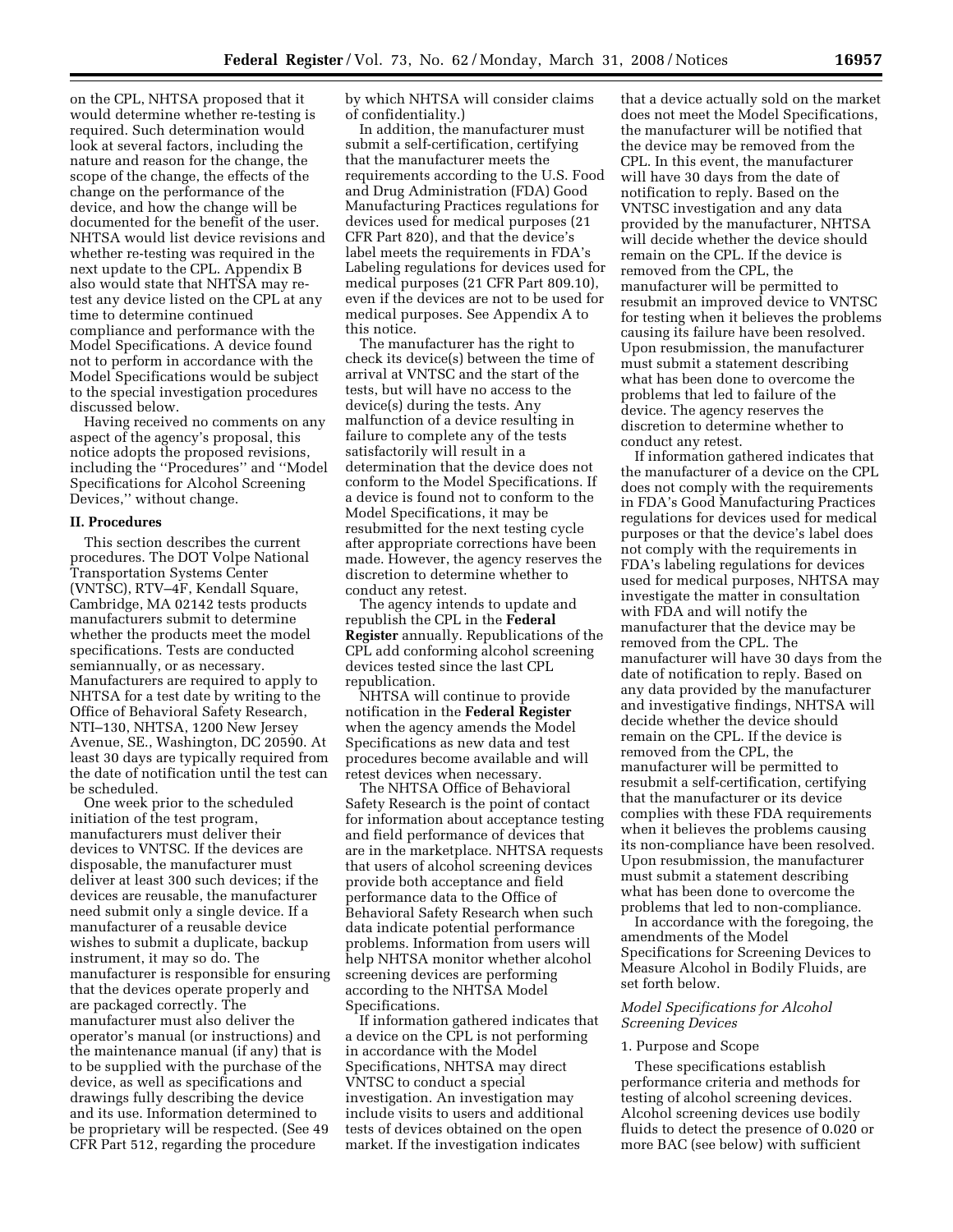on the CPL, NHTSA proposed that it would determine whether re-testing is required. Such determination would look at several factors, including the nature and reason for the change, the scope of the change, the effects of the change on the performance of the device, and how the change will be documented for the benefit of the user. NHTSA would list device revisions and whether re-testing was required in the next update to the CPL. Appendix B also would state that NHTSA may retest any device listed on the CPL at any time to determine continued compliance and performance with the Model Specifications. A device found not to perform in accordance with the Model Specifications would be subject to the special investigation procedures discussed below.

Having received no comments on any aspect of the agency's proposal, this notice adopts the proposed revisions, including the ''Procedures'' and ''Model Specifications for Alcohol Screening Devices,'' without change.

### **II. Procedures**

This section describes the current procedures. The DOT Volpe National Transportation Systems Center (VNTSC), RTV–4F, Kendall Square, Cambridge, MA 02142 tests products manufacturers submit to determine whether the products meet the model specifications. Tests are conducted semiannually, or as necessary. Manufacturers are required to apply to NHTSA for a test date by writing to the Office of Behavioral Safety Research, NTI–130, NHTSA, 1200 New Jersey Avenue, SE., Washington, DC 20590. At least 30 days are typically required from the date of notification until the test can be scheduled.

One week prior to the scheduled initiation of the test program, manufacturers must deliver their devices to VNTSC. If the devices are disposable, the manufacturer must deliver at least 300 such devices; if the devices are reusable, the manufacturer need submit only a single device. If a manufacturer of a reusable device wishes to submit a duplicate, backup instrument, it may so do. The manufacturer is responsible for ensuring that the devices operate properly and are packaged correctly. The manufacturer must also deliver the operator's manual (or instructions) and the maintenance manual (if any) that is to be supplied with the purchase of the device, as well as specifications and drawings fully describing the device and its use. Information determined to be proprietary will be respected. (See 49 CFR Part 512, regarding the procedure

by which NHTSA will consider claims of confidentiality.)

In addition, the manufacturer must submit a self-certification, certifying that the manufacturer meets the requirements according to the U.S. Food and Drug Administration (FDA) Good Manufacturing Practices regulations for devices used for medical purposes (21 CFR Part 820), and that the device's label meets the requirements in FDA's Labeling regulations for devices used for medical purposes (21 CFR Part 809.10), even if the devices are not to be used for medical purposes. See Appendix A to this notice.

The manufacturer has the right to check its device(s) between the time of arrival at VNTSC and the start of the tests, but will have no access to the device(s) during the tests. Any malfunction of a device resulting in failure to complete any of the tests satisfactorily will result in a determination that the device does not conform to the Model Specifications. If a device is found not to conform to the Model Specifications, it may be resubmitted for the next testing cycle after appropriate corrections have been made. However, the agency reserves the discretion to determine whether to conduct any retest.

The agency intends to update and republish the CPL in the **Federal Register** annually. Republications of the CPL add conforming alcohol screening devices tested since the last CPL republication.

NHTSA will continue to provide notification in the **Federal Register**  when the agency amends the Model Specifications as new data and test procedures become available and will retest devices when necessary.

The NHTSA Office of Behavioral Safety Research is the point of contact for information about acceptance testing and field performance of devices that are in the marketplace. NHTSA requests that users of alcohol screening devices provide both acceptance and field performance data to the Office of Behavioral Safety Research when such data indicate potential performance problems. Information from users will help NHTSA monitor whether alcohol screening devices are performing according to the NHTSA Model Specifications.

If information gathered indicates that a device on the CPL is not performing in accordance with the Model Specifications, NHTSA may direct VNTSC to conduct a special investigation. An investigation may include visits to users and additional tests of devices obtained on the open market. If the investigation indicates

that a device actually sold on the market does not meet the Model Specifications, the manufacturer will be notified that the device may be removed from the CPL. In this event, the manufacturer will have 30 days from the date of notification to reply. Based on the VNTSC investigation and any data provided by the manufacturer, NHTSA will decide whether the device should remain on the CPL. If the device is removed from the CPL, the manufacturer will be permitted to resubmit an improved device to VNTSC for testing when it believes the problems causing its failure have been resolved. Upon resubmission, the manufacturer must submit a statement describing what has been done to overcome the problems that led to failure of the device. The agency reserves the discretion to determine whether to conduct any retest.

If information gathered indicates that the manufacturer of a device on the CPL does not comply with the requirements in FDA's Good Manufacturing Practices regulations for devices used for medical purposes or that the device's label does not comply with the requirements in FDA's labeling regulations for devices used for medical purposes, NHTSA may investigate the matter in consultation with FDA and will notify the manufacturer that the device may be removed from the CPL. The manufacturer will have 30 days from the date of notification to reply. Based on any data provided by the manufacturer and investigative findings, NHTSA will decide whether the device should remain on the CPL. If the device is removed from the CPL, the manufacturer will be permitted to resubmit a self-certification, certifying that the manufacturer or its device complies with these FDA requirements when it believes the problems causing its non-compliance have been resolved. Upon resubmission, the manufacturer must submit a statement describing what has been done to overcome the problems that led to non-compliance.

In accordance with the foregoing, the amendments of the Model Specifications for Screening Devices to Measure Alcohol in Bodily Fluids, are set forth below.

## *Model Specifications for Alcohol Screening Devices*

#### 1. Purpose and Scope

These specifications establish performance criteria and methods for testing of alcohol screening devices. Alcohol screening devices use bodily fluids to detect the presence of 0.020 or more BAC (see below) with sufficient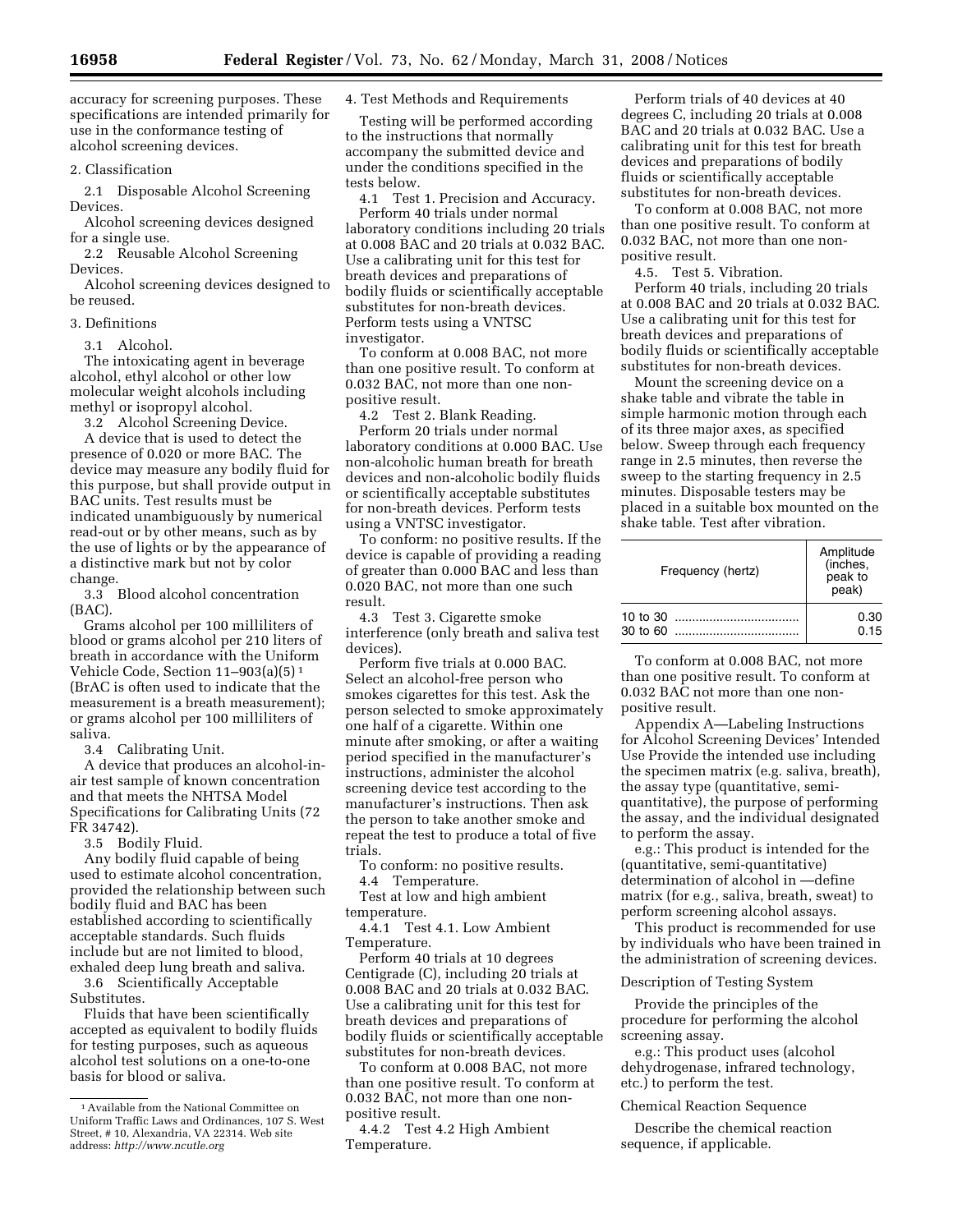accuracy for screening purposes. These specifications are intended primarily for use in the conformance testing of alcohol screening devices.

2. Classification

2.1 Disposable Alcohol Screening Devices.

Alcohol screening devices designed for a single use.

2.2 Reusable Alcohol Screening Devices.

Alcohol screening devices designed to be reused.

## 3. Definitions

3.1 Alcohol.

The intoxicating agent in beverage alcohol, ethyl alcohol or other low molecular weight alcohols including methyl or isopropyl alcohol.

3.2 Alcohol Screening Device.

A device that is used to detect the presence of 0.020 or more BAC. The device may measure any bodily fluid for this purpose, but shall provide output in BAC units. Test results must be indicated unambiguously by numerical read-out or by other means, such as by the use of lights or by the appearance of a distinctive mark but not by color change.

3.3 Blood alcohol concentration (BAC).

Grams alcohol per 100 milliliters of blood or grams alcohol per 210 liters of breath in accordance with the Uniform Vehicle Code, Section 11–903(a)(5) 1 (BrAC is often used to indicate that the measurement is a breath measurement); or grams alcohol per 100 milliliters of saliva.

3.4 Calibrating Unit.

A device that produces an alcohol-inair test sample of known concentration and that meets the NHTSA Model Specifications for Calibrating Units (72 FR 34742).

3.5 Bodily Fluid.

Any bodily fluid capable of being used to estimate alcohol concentration, provided the relationship between such bodily fluid and BAC has been established according to scientifically acceptable standards. Such fluids include but are not limited to blood, exhaled deep lung breath and saliva.

3.6 Scientifically Acceptable Substitutes.

Fluids that have been scientifically accepted as equivalent to bodily fluids for testing purposes, such as aqueous alcohol test solutions on a one-to-one basis for blood or saliva.

4. Test Methods and Requirements

Testing will be performed according to the instructions that normally accompany the submitted device and under the conditions specified in the tests below.

4.1 Test 1. Precision and Accuracy.

Perform 40 trials under normal laboratory conditions including 20 trials at 0.008 BAC and 20 trials at 0.032 BAC. Use a calibrating unit for this test for breath devices and preparations of bodily fluids or scientifically acceptable substitutes for non-breath devices. Perform tests using a VNTSC investigator.

To conform at 0.008 BAC, not more than one positive result. To conform at 0.032 BAC, not more than one nonpositive result.

4.2 Test 2. Blank Reading.

Perform 20 trials under normal laboratory conditions at 0.000 BAC. Use non-alcoholic human breath for breath devices and non-alcoholic bodily fluids or scientifically acceptable substitutes for non-breath devices. Perform tests using a VNTSC investigator.

To conform: no positive results. If the device is capable of providing a reading of greater than 0.000 BAC and less than 0.020 BAC, not more than one such result.

4.3 Test 3. Cigarette smoke interference (only breath and saliva test devices).

Perform five trials at 0.000 BAC. Select an alcohol-free person who smokes cigarettes for this test. Ask the person selected to smoke approximately one half of a cigarette. Within one minute after smoking, or after a waiting period specified in the manufacturer's instructions, administer the alcohol screening device test according to the manufacturer's instructions. Then ask the person to take another smoke and repeat the test to produce a total of five trials.

To conform: no positive results.

4.4 Temperature.

Test at low and high ambient temperature.

4.4.1 Test 4.1. Low Ambient Temperature.

Perform 40 trials at 10 degrees Centigrade (C), including 20 trials at 0.008 BAC and 20 trials at 0.032 BAC. Use a calibrating unit for this test for breath devices and preparations of bodily fluids or scientifically acceptable substitutes for non-breath devices.

To conform at 0.008 BAC, not more than one positive result. To conform at 0.032 BAC, not more than one nonpositive result.

4.4.2 Test 4.2 High Ambient Temperature.

Perform trials of 40 devices at 40 degrees C, including 20 trials at 0.008 BAC and 20 trials at 0.032 BAC. Use a calibrating unit for this test for breath devices and preparations of bodily fluids or scientifically acceptable substitutes for non-breath devices.

To conform at 0.008 BAC, not more than one positive result. To conform at 0.032 BAC, not more than one nonpositive result.

4.5. Test 5. Vibration.

Perform 40 trials, including 20 trials at 0.008 BAC and 20 trials at 0.032 BAC. Use a calibrating unit for this test for breath devices and preparations of bodily fluids or scientifically acceptable substitutes for non-breath devices.

Mount the screening device on a shake table and vibrate the table in simple harmonic motion through each of its three major axes, as specified below. Sweep through each frequency range in 2.5 minutes, then reverse the sweep to the starting frequency in 2.5 minutes. Disposable testers may be placed in a suitable box mounted on the shake table. Test after vibration.

| Frequency (hertz)      | Amplitude<br>(inches,<br>peak to<br>peak) |
|------------------------|-------------------------------------------|
| 10 to $30$<br>30 to 60 | 0.30<br>0.15                              |

To conform at 0.008 BAC, not more than one positive result. To conform at 0.032 BAC not more than one nonpositive result.

Appendix A—Labeling Instructions for Alcohol Screening Devices' Intended Use Provide the intended use including the specimen matrix (e.g. saliva, breath), the assay type (quantitative, semiquantitative), the purpose of performing the assay, and the individual designated to perform the assay.

e.g.: This product is intended for the (quantitative, semi-quantitative) determination of alcohol in —define matrix (for e.g., saliva, breath, sweat) to perform screening alcohol assays.

This product is recommended for use by individuals who have been trained in the administration of screening devices.

### Description of Testing System

Provide the principles of the procedure for performing the alcohol screening assay.

e.g.: This product uses (alcohol dehydrogenase, infrared technology, etc.) to perform the test.

Chemical Reaction Sequence

Describe the chemical reaction sequence, if applicable.

<sup>1</sup>Available from the National Committee on Uniform Traffic Laws and Ordinances, 107 S. West Street, # 10, Alexandria, VA 22314. Web site address: *http://www.ncutle.org*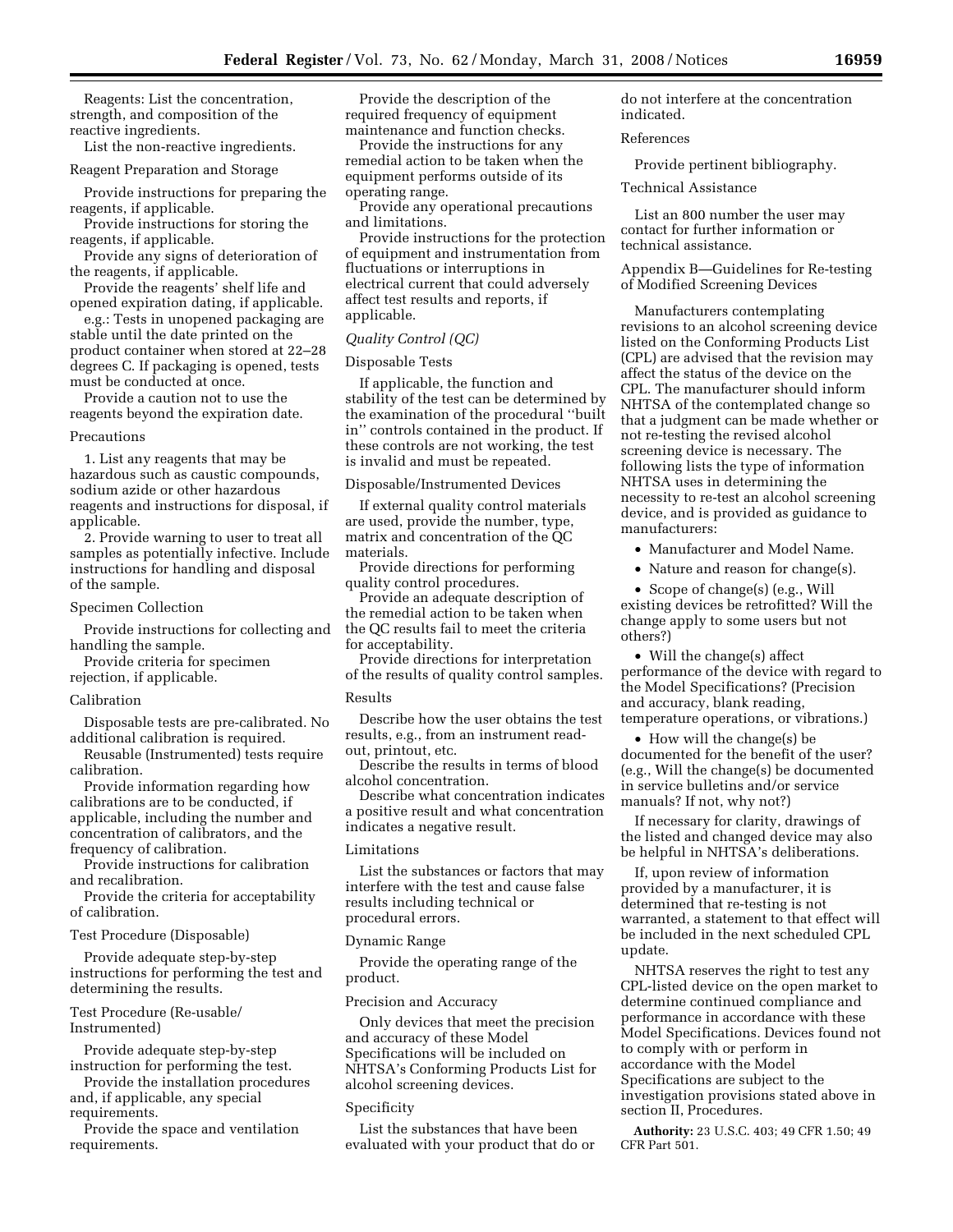Reagents: List the concentration, strength, and composition of the reactive ingredients.

List the non-reactive ingredients.

Reagent Preparation and Storage

Provide instructions for preparing the reagents, if applicable.

Provide instructions for storing the reagents, if applicable.

Provide any signs of deterioration of the reagents, if applicable.

Provide the reagents' shelf life and opened expiration dating, if applicable.

e.g.: Tests in unopened packaging are stable until the date printed on the product container when stored at 22–28 degrees C. If packaging is opened, tests must be conducted at once.

Provide a caution not to use the reagents beyond the expiration date.

### **Precautions**

1. List any reagents that may be hazardous such as caustic compounds, sodium azide or other hazardous reagents and instructions for disposal, if applicable.

2. Provide warning to user to treat all samples as potentially infective. Include instructions for handling and disposal of the sample.

#### Specimen Collection

Provide instructions for collecting and handling the sample.

Provide criteria for specimen

rejection, if applicable.

# Calibration

Disposable tests are pre-calibrated. No additional calibration is required.

Reusable (Instrumented) tests require calibration.

Provide information regarding how calibrations are to be conducted, if applicable, including the number and concentration of calibrators, and the frequency of calibration.

Provide instructions for calibration and recalibration.

Provide the criteria for acceptability of calibration.

Test Procedure (Disposable)

Provide adequate step-by-step instructions for performing the test and determining the results.

Test Procedure (Re-usable/ Instrumented)

Provide adequate step-by-step instruction for performing the test.

Provide the installation procedures and, if applicable, any special requirements.

Provide the space and ventilation requirements.

Provide the description of the required frequency of equipment maintenance and function checks.

Provide the instructions for any remedial action to be taken when the equipment performs outside of its operating range.

Provide any operational precautions and limitations.

Provide instructions for the protection of equipment and instrumentation from fluctuations or interruptions in electrical current that could adversely affect test results and reports, if applicable.

#### *Quality Control (QC)*

### Disposable Tests

If applicable, the function and stability of the test can be determined by the examination of the procedural ''built in'' controls contained in the product. If these controls are not working, the test is invalid and must be repeated.

Disposable/Instrumented Devices

If external quality control materials are used, provide the number, type, matrix and concentration of the QC materials.

Provide directions for performing quality control procedures.

Provide an adequate description of the remedial action to be taken when the QC results fail to meet the criteria for acceptability.

Provide directions for interpretation of the results of quality control samples.

## Results

Describe how the user obtains the test results, e.g., from an instrument readout, printout, etc.

Describe the results in terms of blood alcohol concentration.

Describe what concentration indicates a positive result and what concentration indicates a negative result.

#### Limitations

List the substances or factors that may interfere with the test and cause false results including technical or procedural errors.

### Dynamic Range

Provide the operating range of the product.

# Precision and Accuracy

Only devices that meet the precision and accuracy of these Model Specifications will be included on NHTSA's Conforming Products List for alcohol screening devices.

### Specificity

List the substances that have been evaluated with your product that do or do not interfere at the concentration indicated.

## References

Provide pertinent bibliography.

Technical Assistance

List an 800 number the user may contact for further information or technical assistance.

Appendix B—Guidelines for Re-testing of Modified Screening Devices

Manufacturers contemplating revisions to an alcohol screening device listed on the Conforming Products List (CPL) are advised that the revision may affect the status of the device on the CPL. The manufacturer should inform NHTSA of the contemplated change so that a judgment can be made whether or not re-testing the revised alcohol screening device is necessary. The following lists the type of information NHTSA uses in determining the necessity to re-test an alcohol screening device, and is provided as guidance to manufacturers:

• Manufacturer and Model Name.

• Nature and reason for change(s).

• Scope of change(s) (e.g., Will existing devices be retrofitted? Will the change apply to some users but not others?)

• Will the change(s) affect performance of the device with regard to the Model Specifications? (Precision and accuracy, blank reading, temperature operations, or vibrations.)

• How will the change(s) be documented for the benefit of the user? (e.g., Will the change(s) be documented in service bulletins and/or service manuals? If not, why not?)

If necessary for clarity, drawings of the listed and changed device may also be helpful in NHTSA's deliberations.

If, upon review of information provided by a manufacturer, it is determined that re-testing is not warranted, a statement to that effect will be included in the next scheduled CPL update.

NHTSA reserves the right to test any CPL-listed device on the open market to determine continued compliance and performance in accordance with these Model Specifications. Devices found not to comply with or perform in accordance with the Model Specifications are subject to the investigation provisions stated above in section II, Procedures.

**Authority:** 23 U.S.C. 403; 49 CFR 1.50; 49 CFR Part 501.